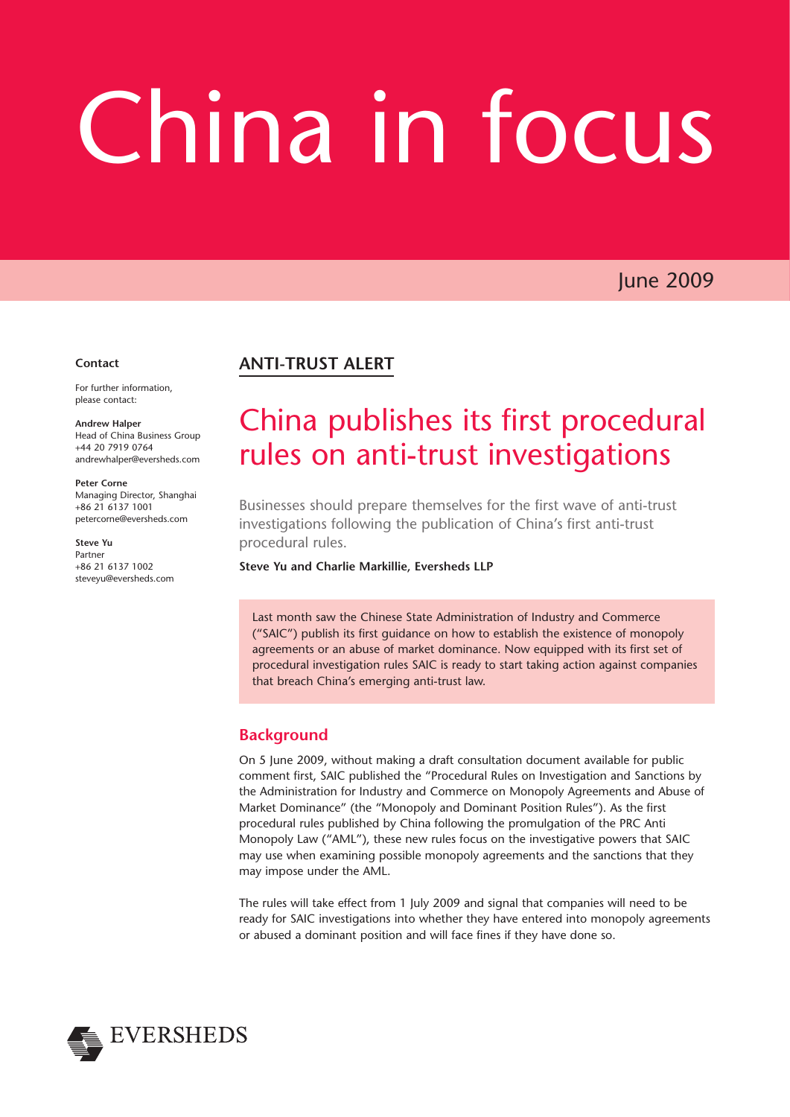# China in focus

June 2009

#### **Contact**

For further information, please contact:

**Andrew Halper** Head of China Business Group +44 20 7919 0764 andrewhalper@eversheds.com

**Peter Corne** Managing Director, Shanghai +86 21 6137 1001 petercorne@eversheds.com

**Steve Yu** Partner +86 21 6137 1002 steveyu@eversheds.com

# **ANTI-TRUST ALERT**

# China publishes its first procedural rules on anti-trust investigations

Businesses should prepare themselves for the first wave of anti-trust investigations following the publication of China's first anti-trust procedural rules.

**Steve Yu and Charlie Markillie, Eversheds LLP**

Last month saw the Chinese State Administration of Industry and Commerce ("SAIC") publish its first guidance on how to establish the existence of monopoly agreements or an abuse of market dominance. Now equipped with its first set of procedural investigation rules SAIC is ready to start taking action against companies that breach China's emerging anti-trust law.

# **Background**

On 5 June 2009, without making a draft consultation document available for public comment first, SAIC published the "Procedural Rules on Investigation and Sanctions by the Administration for Industry and Commerce on Monopoly Agreements and Abuse of Market Dominance" (the "Monopoly and Dominant Position Rules"). As the first procedural rules published by China following the promulgation of the PRC Anti Monopoly Law ("AML"), these new rules focus on the investigative powers that SAIC may use when examining possible monopoly agreements and the sanctions that they may impose under the AML.

The rules will take effect from 1 July 2009 and signal that companies will need to be ready for SAIC investigations into whether they have entered into monopoly agreements or abused a dominant position and will face fines if they have done so.

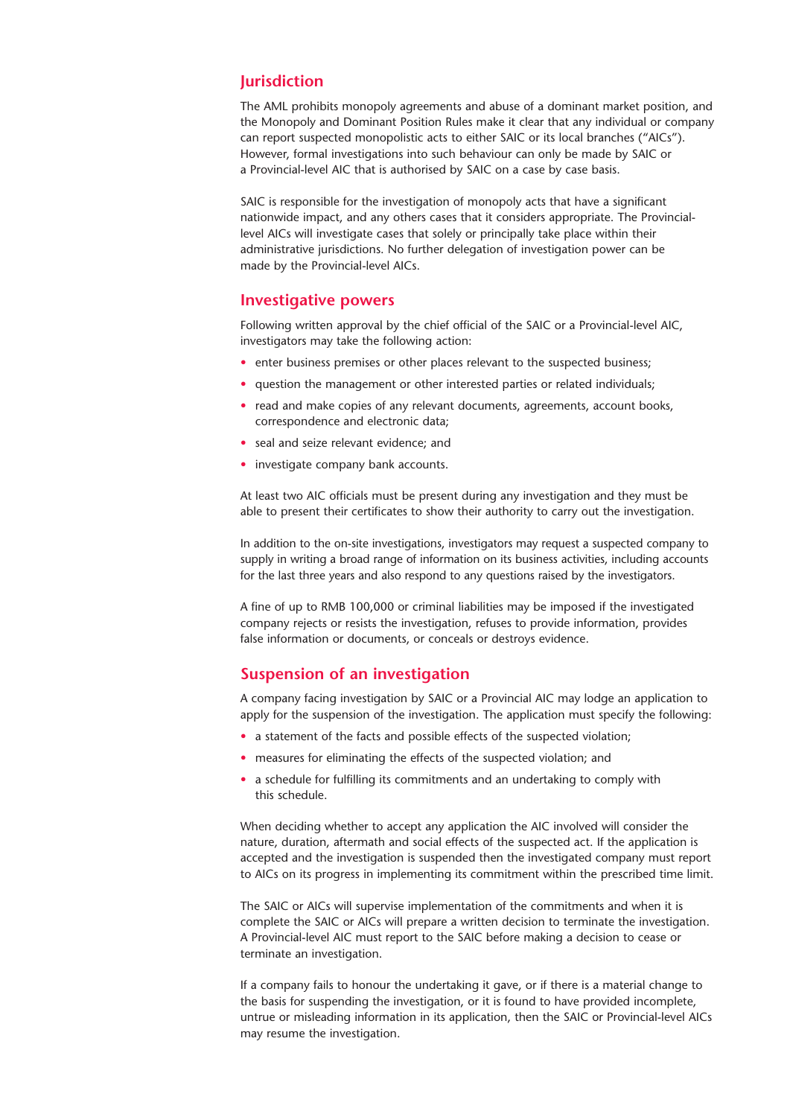#### **Jurisdiction**

The AML prohibits monopoly agreements and abuse of a dominant market position, and the Monopoly and Dominant Position Rules make it clear that any individual or company can report suspected monopolistic acts to either SAIC or its local branches ("AICs"). However, formal investigations into such behaviour can only be made by SAIC or a Provincial-level AIC that is authorised by SAIC on a case by case basis.

SAIC is responsible for the investigation of monopoly acts that have a significant nationwide impact, and any others cases that it considers appropriate. The Provinciallevel AICs will investigate cases that solely or principally take place within their administrative jurisdictions. No further delegation of investigation power can be made by the Provincial-level AICs.

#### **Investigative powers**

Following written approval by the chief official of the SAIC or a Provincial-level AIC, investigators may take the following action:

- enter business premises or other places relevant to the suspected business;
- question the management or other interested parties or related individuals;
- read and make copies of any relevant documents, agreements, account books, correspondence and electronic data;
- seal and seize relevant evidence; and
- investigate company bank accounts.

At least two AIC officials must be present during any investigation and they must be able to present their certificates to show their authority to carry out the investigation.

In addition to the on-site investigations, investigators may request a suspected company to supply in writing a broad range of information on its business activities, including accounts for the last three years and also respond to any questions raised by the investigators.

A fine of up to RMB 100,000 or criminal liabilities may be imposed if the investigated company rejects or resists the investigation, refuses to provide information, provides false information or documents, or conceals or destroys evidence.

#### **Suspension of an investigation**

A company facing investigation by SAIC or a Provincial AIC may lodge an application to apply for the suspension of the investigation. The application must specify the following:

- a statement of the facts and possible effects of the suspected violation:
- measures for eliminating the effects of the suspected violation; and
- a schedule for fulfilling its commitments and an undertaking to comply with this schedule.

When deciding whether to accept any application the AIC involved will consider the nature, duration, aftermath and social effects of the suspected act. If the application is accepted and the investigation is suspended then the investigated company must report to AICs on its progress in implementing its commitment within the prescribed time limit.

The SAIC or AICs will supervise implementation of the commitments and when it is complete the SAIC or AICs will prepare a written decision to terminate the investigation. A Provincial-level AIC must report to the SAIC before making a decision to cease or terminate an investigation.

If a company fails to honour the undertaking it gave, or if there is a material change to the basis for suspending the investigation, or it is found to have provided incomplete, untrue or misleading information in its application, then the SAIC or Provincial-level AICs may resume the investigation.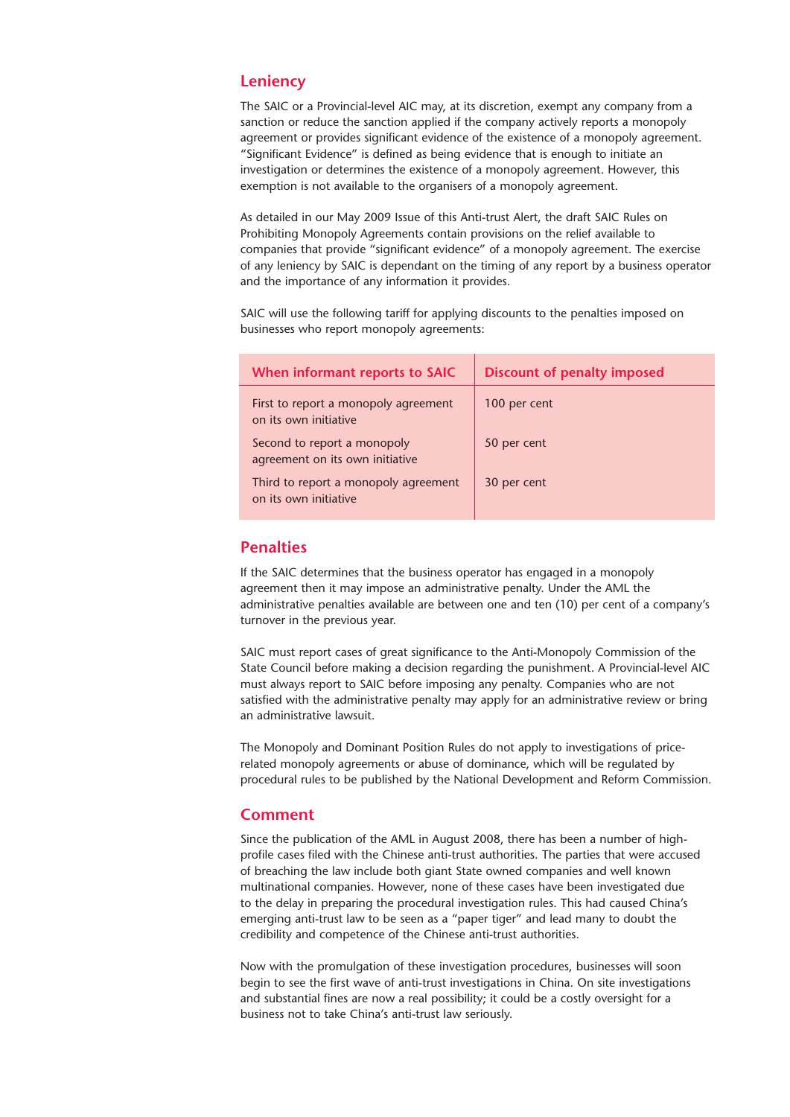#### **Leniency**

The SAIC or a Provincial-level AIC may, at its discretion, exempt any company from a sanction or reduce the sanction applied if the company actively reports a monopoly agreement or provides significant evidence of the existence of a monopoly agreement. "Significant Evidence" is defined as being evidence that is enough to initiate an investigation or determines the existence of a monopoly agreement. However, this exemption is not available to the organisers of a monopoly agreement.

As detailed in our May 2009 Issue of this Anti-trust Alert, the draft SAIC Rules on Prohibiting Monopoly Agreements contain provisions on the relief available to companies that provide "significant evidence" of a monopoly agreement. The exercise of any leniency by SAIC is dependant on the timing of any report by a business operator and the importance of any information it provides.

SAIC will use the following tariff for applying discounts to the penalties imposed on businesses who report monopoly agreements:

| When informant reports to SAIC                                 | <b>Discount of penalty imposed</b> |
|----------------------------------------------------------------|------------------------------------|
| First to report a monopoly agreement<br>on its own initiative  | 100 per cent                       |
| Second to report a monopoly<br>agreement on its own initiative | 50 per cent                        |
| Third to report a monopoly agreement<br>on its own initiative  | 30 per cent                        |

## **Penalties**

If the SAIC determines that the business operator has engaged in a monopoly agreement then it may impose an administrative penalty. Under the AML the administrative penalties available are between one and ten (10) per cent of a company's turnover in the previous year.

SAIC must report cases of great significance to the Anti-Monopoly Commission of the State Council before making a decision regarding the punishment. A Provincial-level AIC must always report to SAIC before imposing any penalty. Companies who are not satisfied with the administrative penalty may apply for an administrative review or bring an administrative lawsuit.

The Monopoly and Dominant Position Rules do not apply to investigations of pricerelated monopoly agreements or abuse of dominance, which will be regulated by procedural rules to be published by the National Development and Reform Commission.

### **Comment**

Since the publication of the AML in August 2008, there has been a number of highprofile cases filed with the Chinese anti-trust authorities. The parties that were accused of breaching the law include both giant State owned companies and well known multinational companies. However, none of these cases have been investigated due to the delay in preparing the procedural investigation rules. This had caused China's emerging anti-trust law to be seen as a "paper tiger" and lead many to doubt the credibility and competence of the Chinese anti-trust authorities.

Now with the promulgation of these investigation procedures, businesses will soon begin to see the first wave of anti-trust investigations in China. On site investigations and substantial fines are now a real possibility; it could be a costly oversight for a business not to take China's anti-trust law seriously.